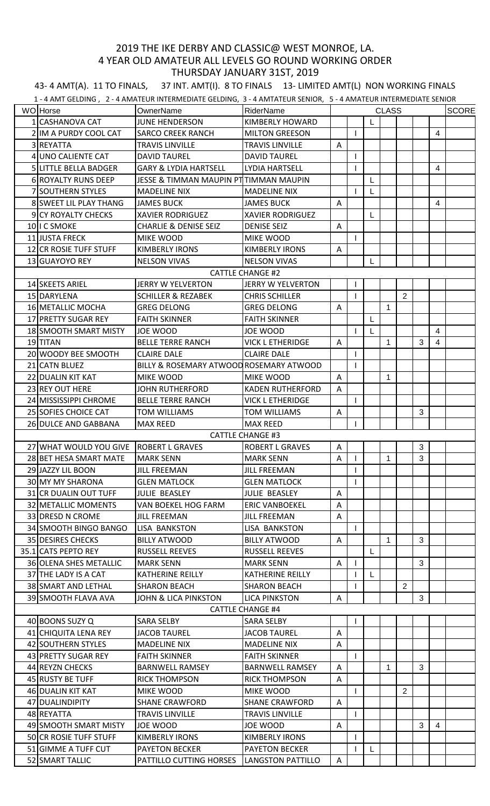## 2019 THE IKE DERBY AND CLASSIC@ WEST MONROE, LA. 4 YEAR OLD AMATEUR ALL LEVELS GO ROUND WORKING ORDER THURSDAY JANUARY 31ST, 2019

43- 4 AMT(A). 11 TO FINALS, 37 INT. AMT(I). 8 TO FINALS 13- LIMITED AMT(L) NON WORKING FINALS

1 - 4 AMT GELDING , 2 - 4 AMATEUR INTERMEDIATE GELDING, 3 - 4 AMTATEUR SENIOR, 5 - 4 AMATEUR INTERMEDIATE SENIOR

|                         | <b>WO</b> Horse               | OwnerName                               | <b>RiderName</b>         | <b>CLASS</b> |              |   |              |                |   |                | <b>SCORE</b> |
|-------------------------|-------------------------------|-----------------------------------------|--------------------------|--------------|--------------|---|--------------|----------------|---|----------------|--------------|
|                         | 1 CASHANOVA CAT               | <b>JUNE HENDERSON</b>                   | KIMBERLY HOWARD          |              |              |   |              |                |   |                |              |
|                         | 2 IIM A PURDY COOL CAT        | <b>SARCO CREEK RANCH</b>                | <b>MILTON GREESON</b>    |              |              |   |              |                |   | 4              |              |
|                         | 3 REYATTA                     | <b>TRAVIS LINVILLE</b>                  | <b>TRAVIS LINVILLE</b>   | A            |              |   |              |                |   |                |              |
|                         | 4 UNO CALIENTE CAT            | <b>DAVID TAUREL</b>                     | <b>DAVID TAUREL</b>      |              |              |   |              |                |   |                |              |
|                         | <b>5 LITTLE BELLA BADGER</b>  | <b>GARY &amp; LYDIA HARTSELL</b>        | <b>LYDIA HARTSELL</b>    |              |              |   |              |                |   | 4              |              |
|                         | 6 ROYALTY RUNS DEEP           | JESSE & TIMMAN MAUPIN PTTIMMAN MAUPIN   |                          |              |              | L |              |                |   |                |              |
|                         | <b>7 SOUTHERN STYLES</b>      | <b>MADELINE NIX</b>                     | <b>MADELINE NIX</b>      |              |              | L |              |                |   |                |              |
|                         | <b>8 SWEET LIL PLAY THANG</b> | <b>JAMES BUCK</b>                       | <b>JAMES BUCK</b>        | A            |              |   |              |                |   | 4              |              |
|                         | <b>9ICY ROYALTY CHECKS</b>    | <b>XAVIER RODRIGUEZ</b>                 | <b>XAVIER RODRIGUEZ</b>  |              |              | L |              |                |   |                |              |
|                         | 10 I C SMOKE                  | <b>CHARLIE &amp; DENISE SEIZ</b>        | <b>DENISE SEIZ</b>       | A            |              |   |              |                |   |                |              |
|                         | 11 JUSTA FRECK                | MIKE WOOD                               | <b>MIKE WOOD</b>         |              | $\mathbf{I}$ |   |              |                |   |                |              |
|                         | 12 CR ROSIE TUFF STUFF        | <b>KIMBERLY IRONS</b>                   | <b>KIMBERLY IRONS</b>    | A            |              |   |              |                |   |                |              |
|                         | 13 GUAYOYO REY                | <b>NELSON VIVAS</b>                     | <b>NELSON VIVAS</b>      |              |              | L |              |                |   |                |              |
| <b>CATTLE CHANGE #2</b> |                               |                                         |                          |              |              |   |              |                |   |                |              |
|                         | 14 SKEETS ARIEL               | <b>JERRY W YELVERTON</b>                | <b>JERRY W YELVERTON</b> |              |              |   |              |                |   |                |              |
|                         | 15 DARYLENA                   | <b>SCHILLER &amp; REZABEK</b>           | <b>CHRIS SCHILLER</b>    |              | $\mathbf{I}$ |   |              | 2              |   |                |              |
|                         | 16 METALLIC MOCHA             | <b>GREG DELONG</b>                      | <b>GREG DELONG</b>       | $\mathsf{A}$ |              |   | $\mathbf 1$  |                |   |                |              |
|                         | 17 PRETTY SUGAR REY           | <b>FAITH SKINNER</b>                    | <b>FAITH SKINNER</b>     |              |              | L |              |                |   |                |              |
|                         | <b>18 SMOOTH SMART MISTY</b>  | <b>JOE WOOD</b>                         | <b>JOE WOOD</b>          |              |              | L |              |                |   | $\overline{4}$ |              |
|                         | 19 TITAN                      | <b>BELLE TERRE RANCH</b>                | <b>VICK L ETHERIDGE</b>  | A            |              |   | $\mathbf{1}$ |                | 3 | 4              |              |
|                         | 20 WOODY BEE SMOOTH           | <b>CLAIRE DALE</b>                      | <b>CLAIRE DALE</b>       |              |              |   |              |                |   |                |              |
|                         | 21 CATN BLUEZ                 | BILLY & ROSEMARY ATWOOD ROSEMARY ATWOOD |                          |              |              |   |              |                |   |                |              |
|                         | 22 DUALIN KIT KAT             | MIKE WOOD                               | <b>MIKE WOOD</b>         | A            |              |   | $\mathbf{1}$ |                |   |                |              |
|                         | 23 REY OUT HERE               | <b>JOHN RUTHERFORD</b>                  | <b>KADEN RUTHERFORD</b>  | A            |              |   |              |                |   |                |              |
|                         | 24 MISSISSIPPI CHROME         | <b>BELLE TERRE RANCH</b>                | <b>VICK L ETHERIDGE</b>  |              |              |   |              |                |   |                |              |
|                         | 25 SOFIES CHOICE CAT          | <b>TOM WILLIAMS</b>                     | <b>TOM WILLIAMS</b>      | A            |              |   |              |                | 3 |                |              |
|                         | 26 DULCE AND GABBANA          | <b>MAX REED</b>                         | <b>MAX REED</b>          |              |              |   |              |                |   |                |              |
|                         |                               |                                         | <b>CATTLE CHANGE #3</b>  |              |              |   |              |                |   |                |              |
|                         | 27 WHAT WOULD YOU GIVE        | <b>ROBERT L GRAVES</b>                  | <b>ROBERT L GRAVES</b>   | A            |              |   |              |                | 3 |                |              |
|                         | 28 BET HESA SMART MATE        | <b>MARK SENN</b>                        | <b>MARK SENN</b>         | A            | $\mathsf{I}$ |   | $\mathbf 1$  |                | 3 |                |              |
|                         | 29 JAZZY LIL BOON             | <b>JILL FREEMAN</b>                     | <b>JILL FREEMAN</b>      |              |              |   |              |                |   |                |              |
|                         | 30 MY MY SHARONA              | <b>GLEN MATLOCK</b>                     | <b>GLEN MATLOCK</b>      |              | $\mathbf{I}$ |   |              |                |   |                |              |
|                         | 31 CR DUALIN OUT TUFF         | JULIE BEASLEY                           | JULIE BEASLEY            | Α            |              |   |              |                |   |                |              |
|                         | 32 METALLIC MOMENTS           | VAN BOEKEL HOG FARM                     | <b>ERIC VANBOEKEL</b>    | A            |              |   |              |                |   |                |              |
|                         | 33 DRESD N CROME              | <b>JILL FREEMAN</b>                     | <b>JILL FREEMAN</b>      | A            |              |   |              |                |   |                |              |
|                         | 34 SMOOTH BINGO BANGO         | LISA BANKSTON                           | LISA BANKSTON            |              |              |   |              |                |   |                |              |
|                         | 35 DESIRES CHECKS             | <b>BILLY ATWOOD</b>                     | <b>BILLY ATWOOD</b>      | A            |              |   | $\mathbf{1}$ |                | 3 |                |              |
|                         | 35.1 CATS PEPTO REY           | <b>RUSSELL REEVES</b>                   | <b>RUSSELL REEVES</b>    |              |              | L |              |                |   |                |              |
|                         | <b>36 OLENA SHES METALLIC</b> | <b>MARK SENN</b>                        | <b>MARK SENN</b>         | A            |              |   |              |                | 3 |                |              |
|                         | 37 THE LADY IS A CAT          | <b>KATHERINE REILLY</b>                 | <b>KATHERINE REILLY</b>  |              |              | L |              |                |   |                |              |
|                         | 38 SMART AND LETHAL           | <b>SHARON BEACH</b>                     | <b>SHARON BEACH</b>      |              |              |   |              | $\overline{2}$ |   |                |              |
|                         | 39 SMOOTH FLAVA AVA           | <b>JOHN &amp; LICA PINKSTON</b>         | <b>LICA PINKSTON</b>     | A            |              |   |              |                | 3 |                |              |
| <b>CATTLE CHANGE #4</b> |                               |                                         |                          |              |              |   |              |                |   |                |              |
|                         | 40 BOONS SUZY Q               | SARA SELBY                              | <b>SARA SELBY</b>        |              |              |   |              |                |   |                |              |
|                         | 41 CHIQUITA LENA REY          | <b>JACOB TAUREL</b>                     | <b>JACOB TAUREL</b>      | A            |              |   |              |                |   |                |              |
|                         | 42 SOUTHERN STYLES            | <b>MADELINE NIX</b>                     | <b>MADELINE NIX</b>      | A            |              |   |              |                |   |                |              |
|                         | 43 PRETTY SUGAR REY           | <b>FAITH SKINNER</b>                    | <b>FAITH SKINNER</b>     |              |              |   |              |                |   |                |              |
|                         | 44 REYZN CHECKS               | <b>BARNWELL RAMSEY</b>                  | <b>BARNWELL RAMSEY</b>   | A            |              |   | 1            |                | 3 |                |              |
|                         | 45 RUSTY BE TUFF              | <b>RICK THOMPSON</b>                    | <b>RICK THOMPSON</b>     | A            |              |   |              |                |   |                |              |
|                         | 46 DUALIN KIT KAT             | MIKE WOOD                               | MIKE WOOD                |              |              |   |              | $\overline{2}$ |   |                |              |
|                         | 47 DUALINDIPITY               | <b>SHANE CRAWFORD</b>                   | <b>SHANE CRAWFORD</b>    | A            |              |   |              |                |   |                |              |
|                         | 48 REYATTA                    | <b>TRAVIS LINVILLE</b>                  | <b>TRAVIS LINVILLE</b>   |              |              |   |              |                |   |                |              |
|                         | 49 SMOOTH SMART MISTY         | JOE WOOD                                | JOE WOOD                 | A            |              |   |              |                | 3 | 4              |              |
|                         | <b>50 CR ROSIE TUFF STUFF</b> | <b>KIMBERLY IRONS</b>                   | <b>KIMBERLY IRONS</b>    |              |              |   |              |                |   |                |              |
|                         | 51 GIMME A TUFF CUT           | <b>PAYETON BECKER</b>                   | <b>PAYETON BECKER</b>    |              |              | L |              |                |   |                |              |
|                         | 52 SMART TALLIC               | PATTILLO CUTTING HORSES                 | <b>LANGSTON PATTILLO</b> | A            |              |   |              |                |   |                |              |
|                         |                               |                                         |                          |              |              |   |              |                |   |                |              |